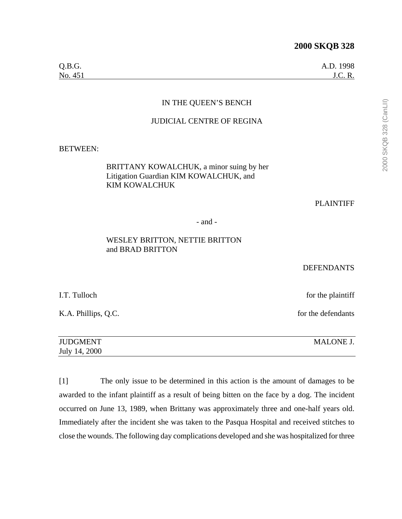| Q.B.G.  | A.D. 1998      |
|---------|----------------|
| No. 451 | <b>J.C. R.</b> |

# IN THE QUEEN'S BENCH

#### JUDICIAL CENTRE OF REGINA

BETWEEN:

# BRITTANY KOWALCHUK, a minor suing by her Litigation Guardian KIM KOWALCHUK, and KIM KOWALCHUK

PLAINTIFF

- and -

## WESLEY BRITTON, NETTIE BRITTON and BRAD BRITTON

#### DEFENDANTS

I.T. Tulloch for the plaintiff

K.A. Phillips, Q.C. for the defendants

| <b>JUDGMENT</b> | <b>MALONE J.</b> |
|-----------------|------------------|
| July 14, 2000   |                  |

[1] The only issue to be determined in this action is the amount of damages to be awarded to the infant plaintiff as a result of being bitten on the face by a dog. The incident occurred on June 13, 1989, when Brittany was approximately three and one-half years old. Immediately after the incident she was taken to the Pasqua Hospital and received stitches to close the wounds. The following day complications developed and she was hospitalized for three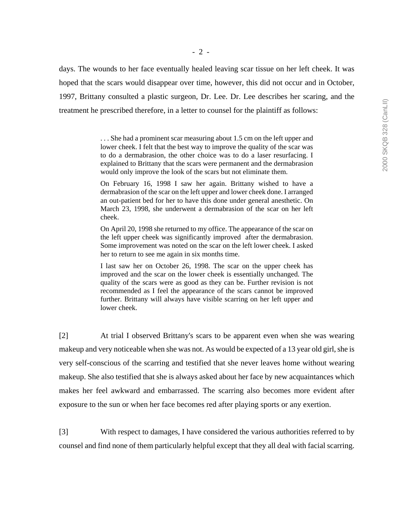days. The wounds to her face eventually healed leaving scar tissue on her left cheek. It was hoped that the scars would disappear over time, however, this did not occur and in October, 1997, Brittany consulted a plastic surgeon, Dr. Lee. Dr. Lee describes her scaring, and the treatment he prescribed therefore, in a letter to counsel for the plaintiff as follows:

> . . . She had a prominent scar measuring about 1.5 cm on the left upper and lower cheek. I felt that the best way to improve the quality of the scar was to do a dermabrasion, the other choice was to do a laser resurfacing. I explained to Brittany that the scars were permanent and the dermabrasion would only improve the look of the scars but not eliminate them.

> On February 16, 1998 I saw her again. Brittany wished to have a dermabrasion of the scar on the left upper and lower cheek done. I arranged an out-patient bed for her to have this done under general anesthetic. On March 23, 1998, she underwent a dermabrasion of the scar on her left cheek.

> On April 20, 1998 she returned to my office. The appearance of the scar on the left upper cheek was significantly improved after the dermabrasion. Some improvement was noted on the scar on the left lower cheek. I asked her to return to see me again in six months time.

> I last saw her on October 26, 1998. The scar on the upper cheek has improved and the scar on the lower cheek is essentially unchanged. The quality of the scars were as good as they can be. Further revision is not recommended as I feel the appearance of the scars cannot be improved further. Brittany will always have visible scarring on her left upper and lower cheek.

[2] At trial I observed Brittany's scars to be apparent even when she was wearing makeup and very noticeable when she was not. As would be expected of a 13 year old girl, she is very self-conscious of the scarring and testified that she never leaves home without wearing makeup. She also testified that she is always asked about her face by new acquaintances which makes her feel awkward and embarrassed. The scarring also becomes more evident after exposure to the sun or when her face becomes red after playing sports or any exertion.

[3] With respect to damages, I have considered the various authorities referred to by counsel and find none of them particularly helpful except that they all deal with facial scarring.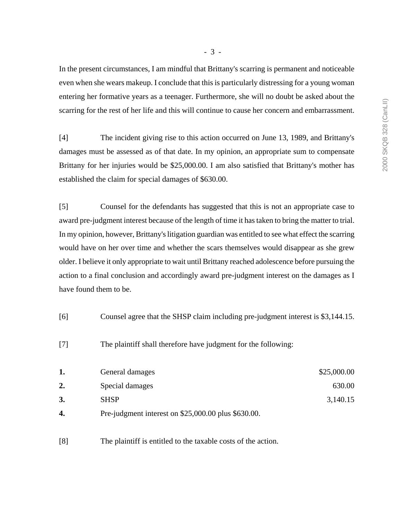- 3 -

In the present circumstances, I am mindful that Brittany's scarring is permanent and noticeable even when she wears makeup. I conclude that this is particularly distressing for a young woman entering her formative years as a teenager. Furthermore, she will no doubt be asked about the scarring for the rest of her life and this will continue to cause her concern and embarrassment.

[4] The incident giving rise to this action occurred on June 13, 1989, and Brittany's damages must be assessed as of that date. In my opinion, an appropriate sum to compensate Brittany for her injuries would be \$25,000.00. I am also satisfied that Brittany's mother has established the claim for special damages of \$630.00.

[5] Counsel for the defendants has suggested that this is not an appropriate case to award pre-judgment interest because of the length of time it has taken to bring the matter to trial. In my opinion, however, Brittany's litigation guardian was entitled to see what effect the scarring would have on her over time and whether the scars themselves would disappear as she grew older. I believe it only appropriate to wait until Brittany reached adolescence before pursuing the action to a final conclusion and accordingly award pre-judgment interest on the damages as I have found them to be.

- [6] Counsel agree that the SHSP claim including pre-judgment interest is \$3,144.15.
- [7] The plaintiff shall therefore have judgment for the following:

|    | General damages                                        | \$25,000.00 |
|----|--------------------------------------------------------|-------------|
| 2. | Special damages                                        | 630.00      |
|    | <b>SHSP</b>                                            | 3,140.15    |
| 4. | Pre-judgment interest on $$25,000.00$ plus $$630.00$ . |             |

[8] The plaintiff is entitled to the taxable costs of the action.